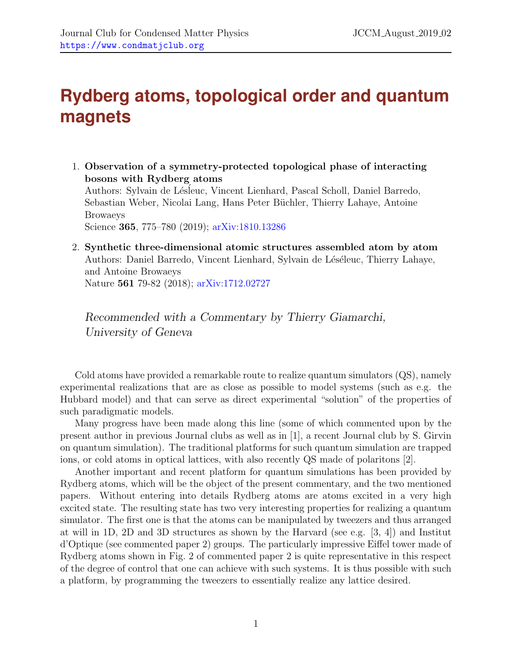## **Rydberg atoms, topological order and quantum magnets**

1. Observation of a symmetry-protected topological phase of interacting bosons with Rydberg atoms Authors: Sylvain de Lésleuc, Vincent Lienhard, Pascal Scholl, Daniel Barredo, Sebastian Weber, Nicolai Lang, Hans Peter Büchler, Thierry Lahaye, Antoine Browaeys

Science 365, 775–780 (2019); [arXiv:1810.13286](http://arxiv.org)

2. Synthetic three-dimensional atomic structures assembled atom by atom Authors: Daniel Barredo, Vincent Lienhard, Sylvain de Léséleuc, Thierry Lahaye, and Antoine Browaeys Nature 561 79-82 (2018); [arXiv:1712.02727](http://arxiv.org)

Recommended with a Commentary by Thierry Giamarchi, University of Geneva

Cold atoms have provided a remarkable route to realize quantum simulators (QS), namely experimental realizations that are as close as possible to model systems (such as e.g. the Hubbard model) and that can serve as direct experimental "solution" of the properties of such paradigmatic models.

Many progress have been made along this line (some of which commented upon by the present author in previous Journal clubs as well as in [\[1\]](#page-2-0), a recent Journal club by S. Girvin on quantum simulation). The traditional platforms for such quantum simulation are trapped ions, or cold atoms in optical lattices, with also recently QS made of polaritons [\[2\]](#page-2-1).

Another important and recent platform for quantum simulations has been provided by Rydberg atoms, which will be the object of the present commentary, and the two mentioned papers. Without entering into details Rydberg atoms are atoms excited in a very high excited state. The resulting state has two very interesting properties for realizing a quantum simulator. The first one is that the atoms can be manipulated by tweezers and thus arranged at will in 1D, 2D and 3D structures as shown by the Harvard (see e.g. [\[3,](#page-2-2) [4\]](#page-2-3)) and Institut d'Optique (see commented paper 2) groups. The particularly impressive Eiffel tower made of Rydberg atoms shown in Fig. 2 of commented paper 2 is quite representative in this respect of the degree of control that one can achieve with such systems. It is thus possible with such a platform, by programming the tweezers to essentially realize any lattice desired.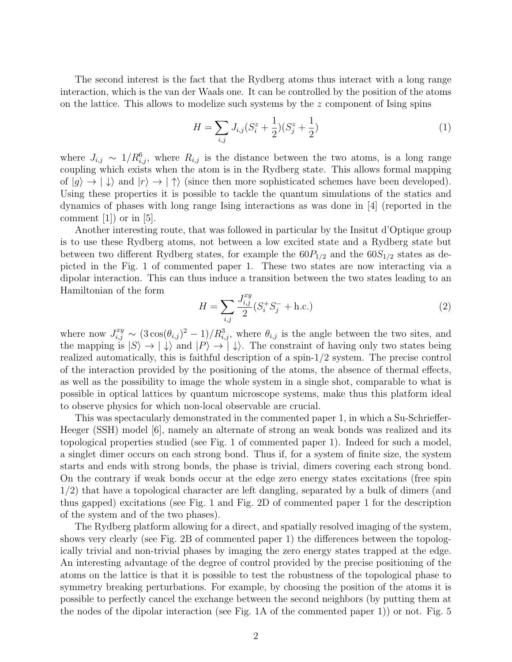The second interest is the fact that the Rydberg atoms thus interact with a long range interaction, which is the van der Waals one. It can be controlled by the position of the atoms on the lattice. This allows to modelize such systems by the  $z$  component of Ising spins

$$
H = \sum_{i,j} J_{i,j} (S_i^z + \frac{1}{2}) (S_j^z + \frac{1}{2})
$$
 (1)

where  $J_{i,j} \sim 1/R_{i,j}^6$ , where  $R_{i,j}$  is the distance between the two atoms, is a long range coupling which exists when the atom is in the Rydberg state. This allows formal mapping of  $|g\rangle \rightarrow |\downarrow\rangle$  and  $|r\rangle \rightarrow |\uparrow\rangle$  (since then more sophisticated schemes have been developed). Using these properties it is possible to tackle the quantum simulations of the statics and dynamics of phases with long range Ising interactions as was done in [\[4\]](#page-2-3) (reported in the comment  $[1]$  or in  $[5]$ .

Another interesting route, that was followed in particular by the Insitut d'Optique group is to use these Rydberg atoms, not between a low excited state and a Rydberg state but between two different Rydberg states, for example the  $60P_{1/2}$  and the  $60S_{1/2}$  states as depicted in the Fig. 1 of commented paper 1. These two states are now interacting via a dipolar interaction. This can thus induce a transition between the two states leading to an Hamiltonian of the form

$$
H = \sum_{i,j} \frac{J_{i,j}^{xy}}{2} (S_i^+ S_j^- + \text{h.c.})
$$
 (2)

where now  $J_{i,j}^{xy} \sim (3\cos(\theta_{i,j})^2-1)/R_{i,j}^3$ , where  $\theta_{i,j}$  is the angle between the two sites, and the mapping is  $|S\rangle \rightarrow |\downarrow\rangle$  and  $|P\rangle \rightarrow |\downarrow\rangle$ . The constraint of having only two states being realized automatically, this is faithful description of a spin-1/2 system. The precise control of the interaction provided by the positioning of the atoms, the absence of thermal effects, as well as the possibility to image the whole system in a single shot, comparable to what is possible in optical lattices by quantum microscope systems, make thus this platform ideal to observe physics for which non-local observable are crucial.

This was spectacularly demonstrated in the commented paper 1, in which a Su-Schrieffer-Heeger (SSH) model [\[6\]](#page-2-5), namely an alternate of strong an weak bonds was realized and its topological properties studied (see Fig. 1 of commented paper 1). Indeed for such a model, a singlet dimer occurs on each strong bond. Thus if, for a system of finite size, the system starts and ends with strong bonds, the phase is trivial, dimers covering each strong bond. On the contrary if weak bonds occur at the edge zero energy states excitations (free spin 1/2) that have a topological character are left dangling, separated by a bulk of dimers (and thus gapped) excitations (see Fig. 1 and Fig. 2D of commented paper 1 for the description of the system and of the two phases).

The Rydberg platform allowing for a direct, and spatially resolved imaging of the system, shows very clearly (see Fig. 2B of commented paper 1) the differences between the topologically trivial and non-trivial phases by imaging the zero energy states trapped at the edge. An interesting advantage of the degree of control provided by the precise positioning of the atoms on the lattice is that it is possible to test the robustness of the topological phase to symmetry breaking perturbations. For example, by choosing the position of the atoms it is possible to perfectly cancel the exchange between the second neighbors (by putting them at the nodes of the dipolar interaction (see Fig. 1A of the commented paper 1)) or not. Fig. 5